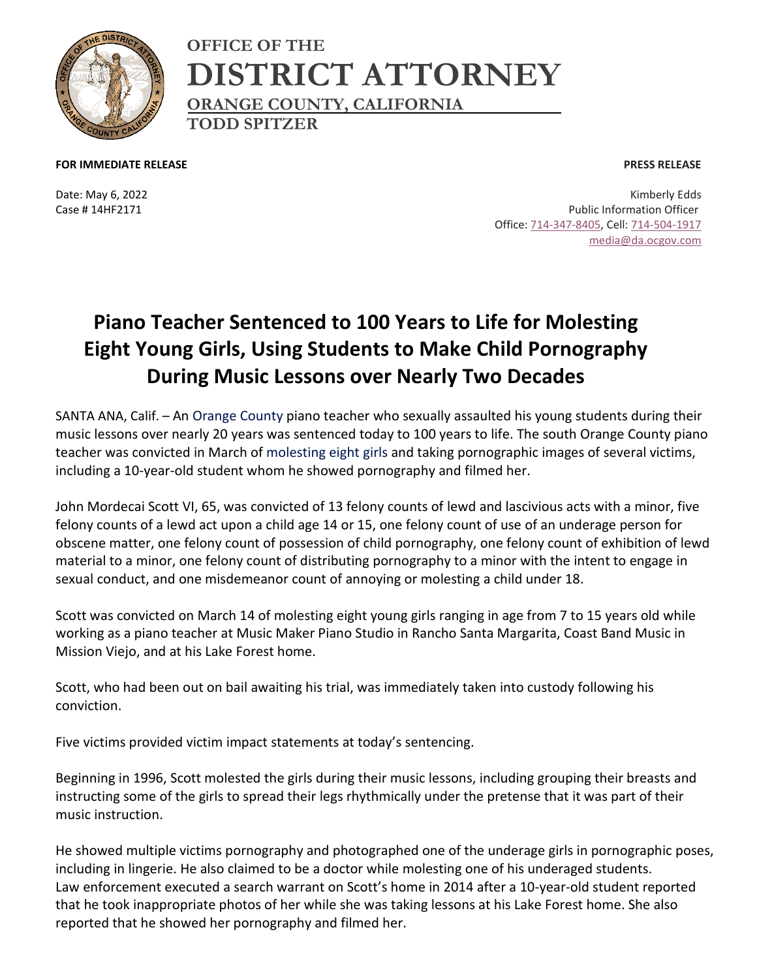

**OFFICE OF THE DISTRICT ATTORNEY ORANGE COUNTY, CALIFORNIA TODD SPITZER**

**FOR IMMEDIATE RELEASE**

Date: May 6, 2022 Case # 14HF2171

**PRESS RELEASE**

Kimberly Edds Public Information Officer Office: [714-347-8405,](tel:714-347-8405) Cell: [714-504-1917](tel:714-504-1917) [media@da.ocgov.com](mailto:media@da.ocgov.com)

## **Piano Teacher Sentenced to 100 Years to Life for Molesting Eight Young Girls, Using Students to Make Child Pornography During Music Lessons over Nearly Two Decades**

SANTA ANA, Calif. – An [Orange County](https://foxla.com/tag/us/ca/orange-county) piano teacher who sexually assaulted his young students during their music lessons over nearly 20 years was sentenced today to 100 years to life. The south Orange County piano teacher was convicted in March of [molesting eight girls](https://foxla.com/tag/crime-publicsafety) and taking pornographic images of several victims, including a 10-year-old student whom he showed pornography and filmed her.

John Mordecai Scott VI, 65, was convicted of 13 felony counts of lewd and lascivious acts with a minor, five felony counts of a lewd act upon a child age 14 or 15, one felony count of use of an underage person for obscene matter, one felony count of possession of child pornography, one felony count of exhibition of lewd material to a minor, one felony count of distributing pornography to a minor with the intent to engage in sexual conduct, and one misdemeanor count of annoying or molesting a child under 18.

Scott was convicted on March 14 of molesting eight young girls ranging in age from 7 to 15 years old while working as a piano teacher at Music Maker Piano Studio in Rancho Santa Margarita, Coast Band Music in Mission Viejo, and at his Lake Forest home.

Scott, who had been out on bail awaiting his trial, was immediately taken into custody following his conviction.

Five victims provided victim impact statements at today's sentencing.

Beginning in 1996, Scott molested the girls during their music lessons, including grouping their breasts and instructing some of the girls to spread their legs rhythmically under the pretense that it was part of their music instruction.

He showed multiple victims pornography and photographed one of the underage girls in pornographic poses, including in lingerie. He also claimed to be a doctor while molesting one of his underaged students. Law enforcement executed a search warrant on Scott's home in 2014 after a 10-year-old student reported that he took inappropriate photos of her while she was taking lessons at his Lake Forest home. She also reported that he showed her pornography and filmed her.